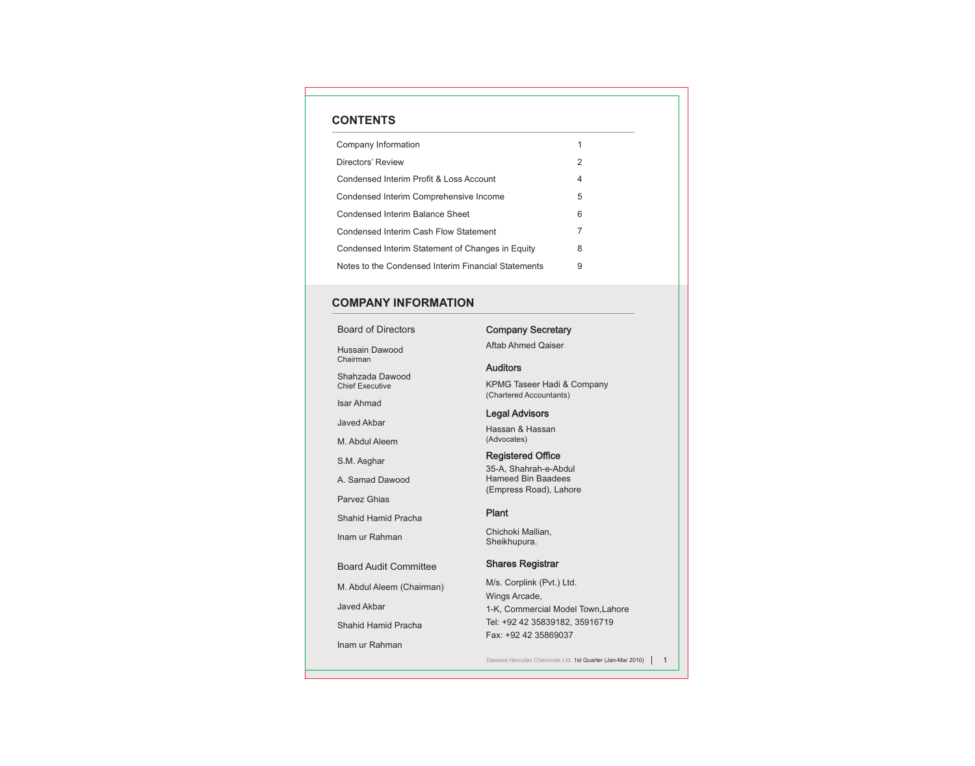# **CONTENTS**

| Company Information                                 | 1 |  |
|-----------------------------------------------------|---|--|
| Directors' Review                                   | 2 |  |
| Condensed Interim Profit & Loss Account             | 4 |  |
| Condensed Interim Comprehensive Income              | 5 |  |
| Condensed Interim Balance Sheet                     | 6 |  |
| Condensed Interim Cash Flow Statement               | 7 |  |
| Condensed Interim Statement of Changes in Equity    | 8 |  |
| Notes to the Condensed Interim Financial Statements | 9 |  |

# **COMPANY INFORMATION**

| <b>Board of Directors</b>                 | C          |
|-------------------------------------------|------------|
| <b>Hussain Dawood</b><br>Chairman         | A          |
| Shahzada Dawood<br><b>Chief Executive</b> | A<br>Κ     |
| <b>Isar Ahmad</b>                         | (C)        |
| Javed Akbar                               | L          |
| M. Abdul Aleem                            | Н<br>(A)   |
| S.M. Asghar                               | R          |
| A. Samad Dawood                           | 3!<br>н    |
| <b>Parvez Ghias</b>                       | (E         |
| Shahid Hamid Pracha                       | P          |
| Inam ur Rahman                            | С<br>S     |
| <b>Board Audit Committee</b>              | S          |
| M. Abdul Aleem (Chairman)                 | M          |
| <b>Javed Akbar</b>                        | W<br>$1 -$ |
| Shahid Hamid Pracha                       | Τę         |
| Inam ur Rahman                            | E          |
|                                           | Dε         |

# Company Secretary

ftab Ahmed Qaiser

### Auditors

PMG Taseer Hadi & Company chartered Accountants)

## egal Advisors

assan & Hassan (Advocates)

## egistered Office

35-A, Shahrah-e-Abdul lameed Bin Baadees (Empress Road), Lahore

### Plant

hichoki Mallian, heikhupura.

## Shares Registrar

M/s. Corplink (Pvt.) Ltd. Wings Arcade, -K, Commercial Model Town,Lahore el: +92 42 35839182, 35916719 Fax: +92 42 35869037

awood Hercules Chemicals Ltd. 1st Quarter (Jan-Mar 2010)  $\begin{bmatrix} 1 & 1 \end{bmatrix}$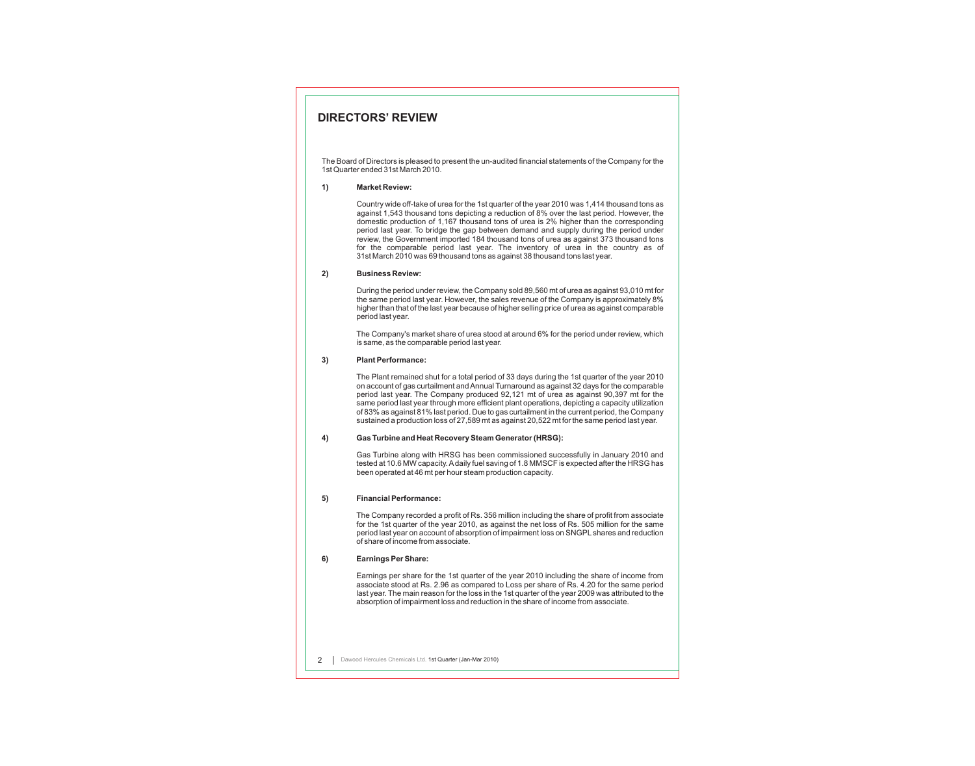### **DIRECTORS' REVIEW**

The Board of Directors is pleased to present the un-audited financial statements of the Company for the 1st Quarter ended 31st March 2010.

#### **1) Market Review:**

Country wide off-take of urea for the 1st quarter of the year 2010 was 1,414 thousand tons as against 1,543 thousand tons depicting a reduction of 8% over the last period. However, the domestic production of 1,167 thousand tons of urea is 2% higher than the corresponding period last year. To bridge the gap between demand and supply during the period under review, the Government imported 184 thousand tons of urea as against 373 thousand tons for the comparable period last year. The inventory of urea in the country as of 31st March 2010 was 69 thousand tons as against 38 thousand tons last year.

#### **2) Business Review:**

During the period under review, the Company sold 89,560 mt of urea as against 93,010 mt for the same period last year. However, the sales revenue of the Company is approximately 8% higher than that of the last year because of higher selling price of urea as against comparable period last year.

The Company's market share of urea stood at around 6% for the period under review, which is same, as the comparable period last year.

#### **3) Plant Performance:**

The Plant remained shut for a total period of 33 days during the 1st quarter of the year 2010 on account of gas curtailment and Annual Turnaround as against 32 days for the comparable period last year. The Company produced 92,121 mt of urea as against 90,397 mt for the same period last year through more efficient plant operations, depicting a capacity utilization of 83% as against 81% last period. Due to gas curtailment in the current period, the Company sustained a production loss of 27,589 mt as against 20,522 mt for the same period last year.

#### **4) Gas Turbine and Heat Recovery Steam Generator (HRSG):**

Gas Turbine along with HRSG has been commissioned successfully in January 2010 and tested at 10.6 MW capacity. Adaily fuel saving of 1.8 MMSCF is expected after the HRSG has been operated at 46 mt per hour steam production capacity.

#### **5) Financial Performance:**

The Company recorded a profit of Rs. 356 million including the share of profit from associate for the 1st quarter of the year 2010, as against the net loss of Rs. 505 million for the same period last year on account of absorption of impairment loss on SNGPL shares and reduction of share of income from associate.

#### **6) Earnings Per Share:**

Earnings per share for the 1st quarter of the year 2010 including the share of income from associate stood at Rs. 2.96 as compared to Loss per share of Rs. 4.20 for the same period last year. The main reason for the loss in the 1st quarter of the year 2009 was attributed to the absorption of impairment loss and reduction in the share of income from associate.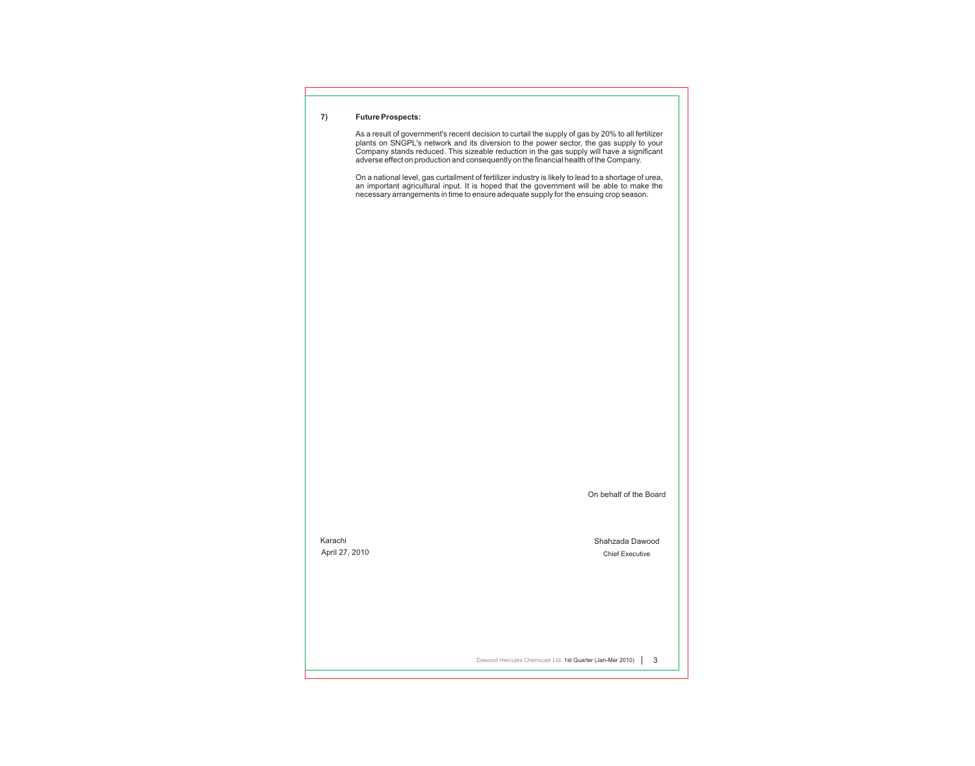#### **7) Future Prospects:**

As a result of government's recent decision to curtail the supply of gas by 20% to all fertilizer plants on SNGPL's network and its diversion to the power sector, the gas supply to your Company stands reduced. This sizeable reduction in the gas supply will have a significant adverse effect on production and consequently on the financial health of the Company.

On a national level, gas curtailment of fertilizer industry is likely to lead to a shortage of urea, an important agricultural input. It is hoped that the government will be able to make the necessary arrangements in time to ensure adequate supply for the ensuing crop season.

On behalf of the Board

Karachi April 27, 2010 Shahzada Dawood Chief Executive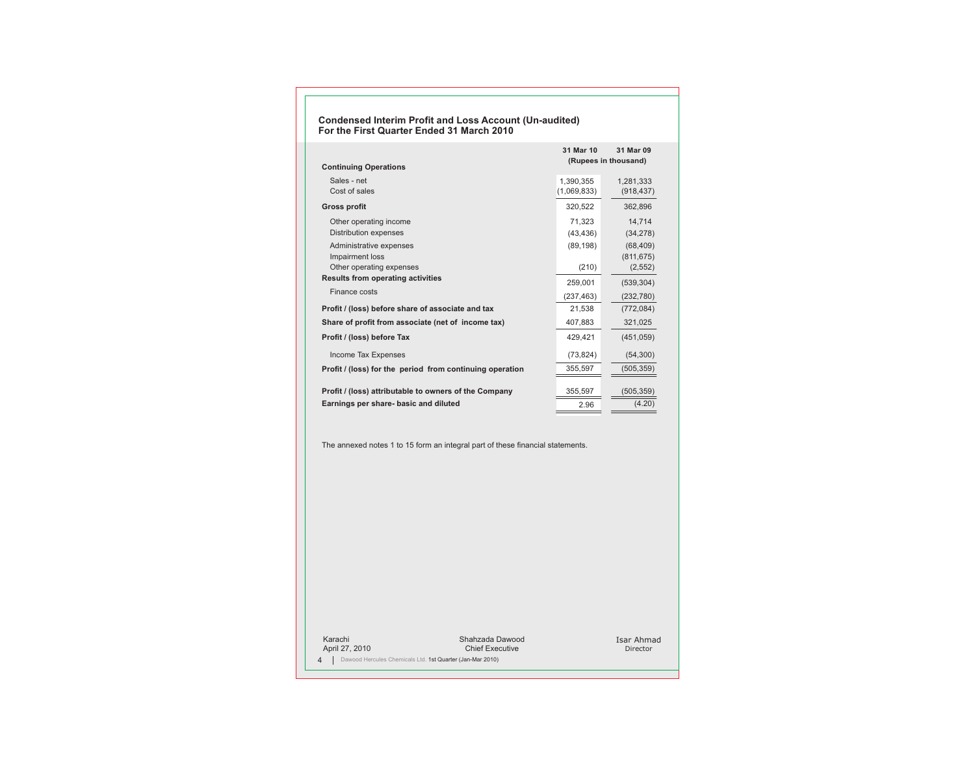#### **Condensed Interim Profit and Loss Account (Un-audited) For the First Quarter Ended 31 March 2010**

| <b>Continuing Operations</b>                                           | 31 Mar 10                | 31 Mar 09<br>(Rupees in thousand)   |
|------------------------------------------------------------------------|--------------------------|-------------------------------------|
| Sales - net<br>Cost of sales                                           | 1,390,355<br>(1,069,833) | 1,281,333<br>(918, 437)             |
| <b>Gross profit</b>                                                    | 320,522                  | 362,896                             |
| Other operating income<br>Distribution expenses                        | 71.323<br>(43, 436)      | 14.714<br>(34, 278)                 |
| Administrative expenses<br>Impairment loss<br>Other operating expenses | (89, 198)<br>(210)       | (68, 409)<br>(811, 675)<br>(2, 552) |
| <b>Results from operating activities</b>                               | 259,001                  | (539, 304)                          |
| Finance costs                                                          | (237, 463)               | (232, 780)                          |
| Profit / (loss) before share of associate and tax                      | 21,538                   | (772, 084)                          |
| Share of profit from associate (net of income tax)                     | 407,883                  | 321,025                             |
| Profit / (loss) before Tax                                             | 429.421                  | (451, 059)                          |
| Income Tax Expenses                                                    | (73, 824)                | (54, 300)                           |
| Profit / (loss) for the period from continuing operation               | 355,597                  | (505, 359)                          |
| Profit / (loss) attributable to owners of the Company                  | 355,597                  | (505, 359)                          |
| Earnings per share- basic and diluted                                  | 2.96                     | (4.20)                              |

The annexed notes 1 to 15 form an integral part of these financial statements.

Karachi April 27, 2010

4 | Dawood Hercules Chemicals Ltd. 1st Quarter (Jan-Mar 2010)

Shahzada Dawood Chief Executive

Isar Ahmad Director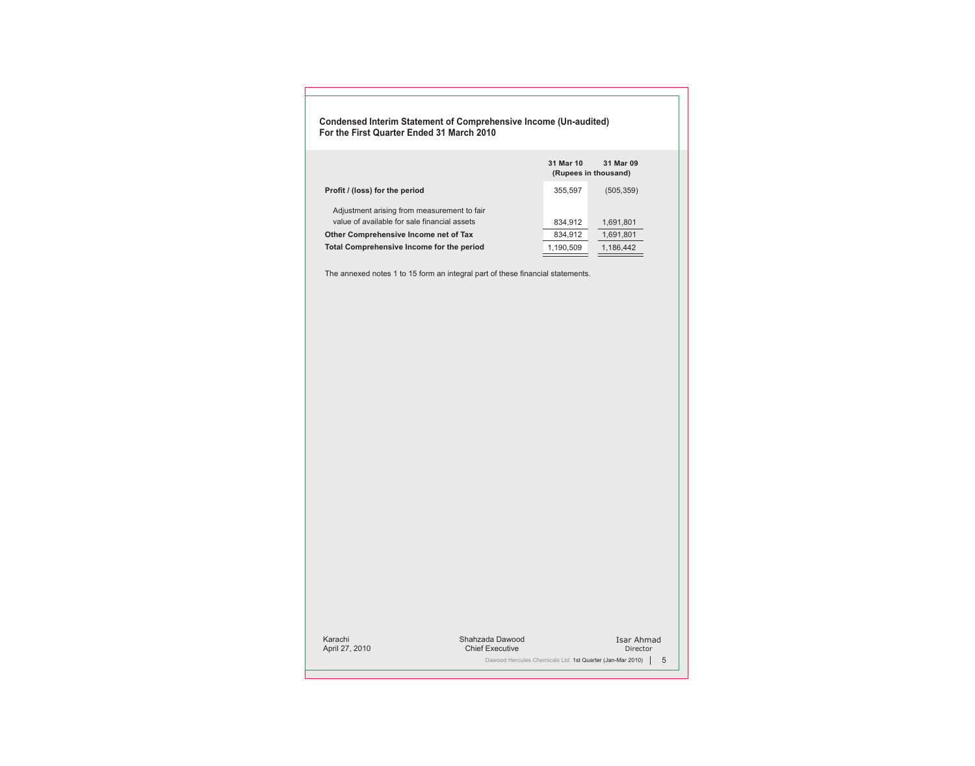#### **Condensed Interim Statement of Comprehensive Income (Un-audited) For the First Quarter Ended 31 March 2010**

|                                                                                             | 31 Mar 10 | 31 Mar 09<br>(Rupees in thousand) |
|---------------------------------------------------------------------------------------------|-----------|-----------------------------------|
| Profit / (loss) for the period                                                              | 355,597   | (505, 359)                        |
| Adjustment arising from measurement to fair<br>value of available for sale financial assets | 834,912   | 1,691,801                         |
| Other Comprehensive Income net of Tax                                                       | 834,912   | 1,691,801                         |
| Total Comprehensive Income for the period                                                   | 1,190,509 | 1,186,442                         |

The annexed notes 1 to 15 form an integral part of these financial statements.

Karachi April 27, 2010 Shahzada Dawood Chief Executive Isar Ahmad Director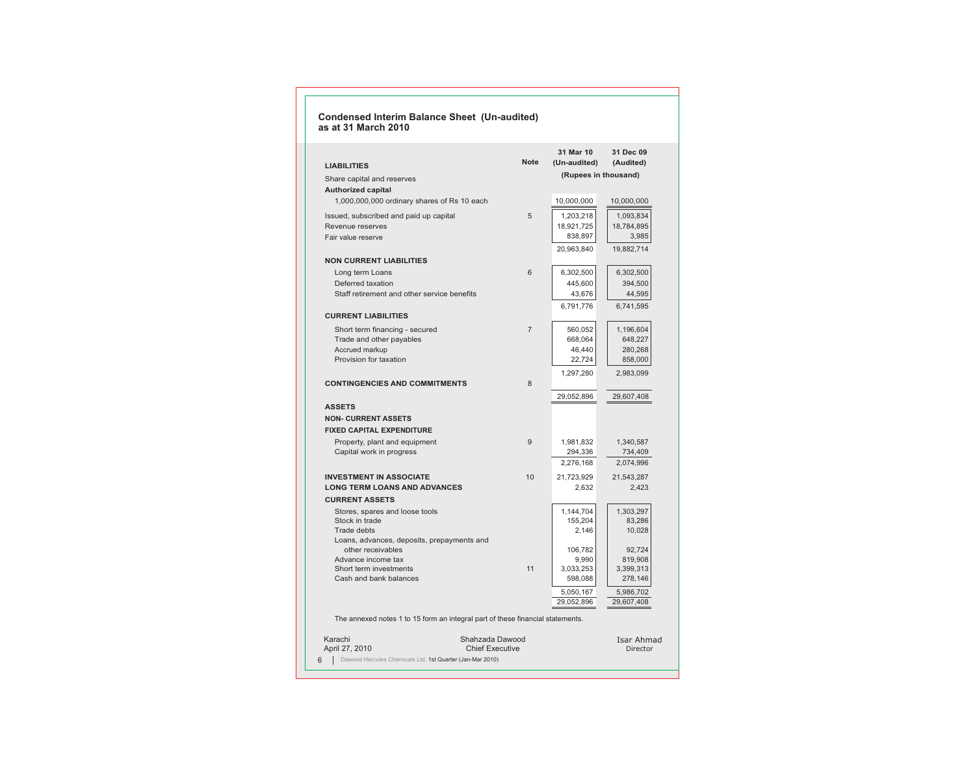#### **Condensed Interim Balance Sheet (Un-audited) as at 31 March 2010**

| <b>Note</b><br>(Un-audited)<br>(Audited)<br><b>LIABILITIES</b><br>(Rupees in thousand)<br>Share capital and reserves<br><b>Authorized capital</b><br>1,000,000,000 ordinary shares of Rs 10 each<br>10,000,000<br>10,000,000<br>5<br>1,203,218<br>1,093,834<br>Issued, subscribed and paid up capital<br>18,921,725<br>18,784,895<br>Revenue reserves<br>838,897<br>3,985<br>Fair value reserve<br>19,882,714<br>20,963,840<br><b>NON CURRENT LIABILITIES</b><br>6<br>6,302,500<br>Long term Loans<br>6,302,500<br>Deferred taxation<br>445,600<br>394,500<br>Staff retirement and other service benefits<br>44,595<br>43,676<br>6,791,776<br>6,741,595<br><b>CURRENT LIABILITIES</b><br>Short term financing - secured<br>$\overline{7}$<br>560,052<br>1,196,604<br>668,064<br>648,227<br>Trade and other payables<br>46,440<br>280,268<br>Accrued markup<br>Provision for taxation<br>22,724<br>858,000<br>1,297,280<br>2,983,099<br><b>CONTINGENCIES AND COMMITMENTS</b><br>8<br>29,052,896<br>29,607,408<br><b>ASSETS</b><br><b>NON- CURRENT ASSETS</b><br><b>FIXED CAPITAL EXPENDITURE</b><br>9<br>Property, plant and equipment<br>1,981,832<br>1,340,587<br>Capital work in progress<br>294,336<br>734,409<br>2,074,996<br>2,276,168<br><b>INVESTMENT IN ASSOCIATE</b><br>10<br>21,723,929<br>21,543,287<br><b>LONG TERM LOANS AND ADVANCES</b><br>2,632<br>2,423<br><b>CURRENT ASSETS</b><br>1,144,704<br>1,303,297<br>Stores, spares and loose tools<br>Stock in trade<br>155,204<br>83,286<br><b>Trade debts</b><br>2,146<br>10,028<br>Loans, advances, deposits, prepayments and<br>other receivables<br>106,782<br>92,724<br>Advance income tax<br>819,908<br>9,990<br>11<br>3,033,253<br>3,399,313<br>Short term investments<br>598,088<br>278,146<br>Cash and bank balances<br>5,050,167<br>5,986,702<br>29,052,896<br>29,607,408<br>The annexed notes 1 to 15 form an integral part of these financial statements. |  | 31 Mar 10 | 31 Dec 09 |
|-----------------------------------------------------------------------------------------------------------------------------------------------------------------------------------------------------------------------------------------------------------------------------------------------------------------------------------------------------------------------------------------------------------------------------------------------------------------------------------------------------------------------------------------------------------------------------------------------------------------------------------------------------------------------------------------------------------------------------------------------------------------------------------------------------------------------------------------------------------------------------------------------------------------------------------------------------------------------------------------------------------------------------------------------------------------------------------------------------------------------------------------------------------------------------------------------------------------------------------------------------------------------------------------------------------------------------------------------------------------------------------------------------------------------------------------------------------------------------------------------------------------------------------------------------------------------------------------------------------------------------------------------------------------------------------------------------------------------------------------------------------------------------------------------------------------------------------------------------------------------------------------------------------------------------------|--|-----------|-----------|
|                                                                                                                                                                                                                                                                                                                                                                                                                                                                                                                                                                                                                                                                                                                                                                                                                                                                                                                                                                                                                                                                                                                                                                                                                                                                                                                                                                                                                                                                                                                                                                                                                                                                                                                                                                                                                                                                                                                                   |  |           |           |
|                                                                                                                                                                                                                                                                                                                                                                                                                                                                                                                                                                                                                                                                                                                                                                                                                                                                                                                                                                                                                                                                                                                                                                                                                                                                                                                                                                                                                                                                                                                                                                                                                                                                                                                                                                                                                                                                                                                                   |  |           |           |
|                                                                                                                                                                                                                                                                                                                                                                                                                                                                                                                                                                                                                                                                                                                                                                                                                                                                                                                                                                                                                                                                                                                                                                                                                                                                                                                                                                                                                                                                                                                                                                                                                                                                                                                                                                                                                                                                                                                                   |  |           |           |
|                                                                                                                                                                                                                                                                                                                                                                                                                                                                                                                                                                                                                                                                                                                                                                                                                                                                                                                                                                                                                                                                                                                                                                                                                                                                                                                                                                                                                                                                                                                                                                                                                                                                                                                                                                                                                                                                                                                                   |  |           |           |
|                                                                                                                                                                                                                                                                                                                                                                                                                                                                                                                                                                                                                                                                                                                                                                                                                                                                                                                                                                                                                                                                                                                                                                                                                                                                                                                                                                                                                                                                                                                                                                                                                                                                                                                                                                                                                                                                                                                                   |  |           |           |
|                                                                                                                                                                                                                                                                                                                                                                                                                                                                                                                                                                                                                                                                                                                                                                                                                                                                                                                                                                                                                                                                                                                                                                                                                                                                                                                                                                                                                                                                                                                                                                                                                                                                                                                                                                                                                                                                                                                                   |  |           |           |
|                                                                                                                                                                                                                                                                                                                                                                                                                                                                                                                                                                                                                                                                                                                                                                                                                                                                                                                                                                                                                                                                                                                                                                                                                                                                                                                                                                                                                                                                                                                                                                                                                                                                                                                                                                                                                                                                                                                                   |  |           |           |
|                                                                                                                                                                                                                                                                                                                                                                                                                                                                                                                                                                                                                                                                                                                                                                                                                                                                                                                                                                                                                                                                                                                                                                                                                                                                                                                                                                                                                                                                                                                                                                                                                                                                                                                                                                                                                                                                                                                                   |  |           |           |
|                                                                                                                                                                                                                                                                                                                                                                                                                                                                                                                                                                                                                                                                                                                                                                                                                                                                                                                                                                                                                                                                                                                                                                                                                                                                                                                                                                                                                                                                                                                                                                                                                                                                                                                                                                                                                                                                                                                                   |  |           |           |
|                                                                                                                                                                                                                                                                                                                                                                                                                                                                                                                                                                                                                                                                                                                                                                                                                                                                                                                                                                                                                                                                                                                                                                                                                                                                                                                                                                                                                                                                                                                                                                                                                                                                                                                                                                                                                                                                                                                                   |  |           |           |
|                                                                                                                                                                                                                                                                                                                                                                                                                                                                                                                                                                                                                                                                                                                                                                                                                                                                                                                                                                                                                                                                                                                                                                                                                                                                                                                                                                                                                                                                                                                                                                                                                                                                                                                                                                                                                                                                                                                                   |  |           |           |
|                                                                                                                                                                                                                                                                                                                                                                                                                                                                                                                                                                                                                                                                                                                                                                                                                                                                                                                                                                                                                                                                                                                                                                                                                                                                                                                                                                                                                                                                                                                                                                                                                                                                                                                                                                                                                                                                                                                                   |  |           |           |
|                                                                                                                                                                                                                                                                                                                                                                                                                                                                                                                                                                                                                                                                                                                                                                                                                                                                                                                                                                                                                                                                                                                                                                                                                                                                                                                                                                                                                                                                                                                                                                                                                                                                                                                                                                                                                                                                                                                                   |  |           |           |
|                                                                                                                                                                                                                                                                                                                                                                                                                                                                                                                                                                                                                                                                                                                                                                                                                                                                                                                                                                                                                                                                                                                                                                                                                                                                                                                                                                                                                                                                                                                                                                                                                                                                                                                                                                                                                                                                                                                                   |  |           |           |
|                                                                                                                                                                                                                                                                                                                                                                                                                                                                                                                                                                                                                                                                                                                                                                                                                                                                                                                                                                                                                                                                                                                                                                                                                                                                                                                                                                                                                                                                                                                                                                                                                                                                                                                                                                                                                                                                                                                                   |  |           |           |
|                                                                                                                                                                                                                                                                                                                                                                                                                                                                                                                                                                                                                                                                                                                                                                                                                                                                                                                                                                                                                                                                                                                                                                                                                                                                                                                                                                                                                                                                                                                                                                                                                                                                                                                                                                                                                                                                                                                                   |  |           |           |
|                                                                                                                                                                                                                                                                                                                                                                                                                                                                                                                                                                                                                                                                                                                                                                                                                                                                                                                                                                                                                                                                                                                                                                                                                                                                                                                                                                                                                                                                                                                                                                                                                                                                                                                                                                                                                                                                                                                                   |  |           |           |
|                                                                                                                                                                                                                                                                                                                                                                                                                                                                                                                                                                                                                                                                                                                                                                                                                                                                                                                                                                                                                                                                                                                                                                                                                                                                                                                                                                                                                                                                                                                                                                                                                                                                                                                                                                                                                                                                                                                                   |  |           |           |
|                                                                                                                                                                                                                                                                                                                                                                                                                                                                                                                                                                                                                                                                                                                                                                                                                                                                                                                                                                                                                                                                                                                                                                                                                                                                                                                                                                                                                                                                                                                                                                                                                                                                                                                                                                                                                                                                                                                                   |  |           |           |
|                                                                                                                                                                                                                                                                                                                                                                                                                                                                                                                                                                                                                                                                                                                                                                                                                                                                                                                                                                                                                                                                                                                                                                                                                                                                                                                                                                                                                                                                                                                                                                                                                                                                                                                                                                                                                                                                                                                                   |  |           |           |
|                                                                                                                                                                                                                                                                                                                                                                                                                                                                                                                                                                                                                                                                                                                                                                                                                                                                                                                                                                                                                                                                                                                                                                                                                                                                                                                                                                                                                                                                                                                                                                                                                                                                                                                                                                                                                                                                                                                                   |  |           |           |
|                                                                                                                                                                                                                                                                                                                                                                                                                                                                                                                                                                                                                                                                                                                                                                                                                                                                                                                                                                                                                                                                                                                                                                                                                                                                                                                                                                                                                                                                                                                                                                                                                                                                                                                                                                                                                                                                                                                                   |  |           |           |
|                                                                                                                                                                                                                                                                                                                                                                                                                                                                                                                                                                                                                                                                                                                                                                                                                                                                                                                                                                                                                                                                                                                                                                                                                                                                                                                                                                                                                                                                                                                                                                                                                                                                                                                                                                                                                                                                                                                                   |  |           |           |
|                                                                                                                                                                                                                                                                                                                                                                                                                                                                                                                                                                                                                                                                                                                                                                                                                                                                                                                                                                                                                                                                                                                                                                                                                                                                                                                                                                                                                                                                                                                                                                                                                                                                                                                                                                                                                                                                                                                                   |  |           |           |
|                                                                                                                                                                                                                                                                                                                                                                                                                                                                                                                                                                                                                                                                                                                                                                                                                                                                                                                                                                                                                                                                                                                                                                                                                                                                                                                                                                                                                                                                                                                                                                                                                                                                                                                                                                                                                                                                                                                                   |  |           |           |
|                                                                                                                                                                                                                                                                                                                                                                                                                                                                                                                                                                                                                                                                                                                                                                                                                                                                                                                                                                                                                                                                                                                                                                                                                                                                                                                                                                                                                                                                                                                                                                                                                                                                                                                                                                                                                                                                                                                                   |  |           |           |
|                                                                                                                                                                                                                                                                                                                                                                                                                                                                                                                                                                                                                                                                                                                                                                                                                                                                                                                                                                                                                                                                                                                                                                                                                                                                                                                                                                                                                                                                                                                                                                                                                                                                                                                                                                                                                                                                                                                                   |  |           |           |
|                                                                                                                                                                                                                                                                                                                                                                                                                                                                                                                                                                                                                                                                                                                                                                                                                                                                                                                                                                                                                                                                                                                                                                                                                                                                                                                                                                                                                                                                                                                                                                                                                                                                                                                                                                                                                                                                                                                                   |  |           |           |
|                                                                                                                                                                                                                                                                                                                                                                                                                                                                                                                                                                                                                                                                                                                                                                                                                                                                                                                                                                                                                                                                                                                                                                                                                                                                                                                                                                                                                                                                                                                                                                                                                                                                                                                                                                                                                                                                                                                                   |  |           |           |
|                                                                                                                                                                                                                                                                                                                                                                                                                                                                                                                                                                                                                                                                                                                                                                                                                                                                                                                                                                                                                                                                                                                                                                                                                                                                                                                                                                                                                                                                                                                                                                                                                                                                                                                                                                                                                                                                                                                                   |  |           |           |
|                                                                                                                                                                                                                                                                                                                                                                                                                                                                                                                                                                                                                                                                                                                                                                                                                                                                                                                                                                                                                                                                                                                                                                                                                                                                                                                                                                                                                                                                                                                                                                                                                                                                                                                                                                                                                                                                                                                                   |  |           |           |
|                                                                                                                                                                                                                                                                                                                                                                                                                                                                                                                                                                                                                                                                                                                                                                                                                                                                                                                                                                                                                                                                                                                                                                                                                                                                                                                                                                                                                                                                                                                                                                                                                                                                                                                                                                                                                                                                                                                                   |  |           |           |
|                                                                                                                                                                                                                                                                                                                                                                                                                                                                                                                                                                                                                                                                                                                                                                                                                                                                                                                                                                                                                                                                                                                                                                                                                                                                                                                                                                                                                                                                                                                                                                                                                                                                                                                                                                                                                                                                                                                                   |  |           |           |
|                                                                                                                                                                                                                                                                                                                                                                                                                                                                                                                                                                                                                                                                                                                                                                                                                                                                                                                                                                                                                                                                                                                                                                                                                                                                                                                                                                                                                                                                                                                                                                                                                                                                                                                                                                                                                                                                                                                                   |  |           |           |
|                                                                                                                                                                                                                                                                                                                                                                                                                                                                                                                                                                                                                                                                                                                                                                                                                                                                                                                                                                                                                                                                                                                                                                                                                                                                                                                                                                                                                                                                                                                                                                                                                                                                                                                                                                                                                                                                                                                                   |  |           |           |
|                                                                                                                                                                                                                                                                                                                                                                                                                                                                                                                                                                                                                                                                                                                                                                                                                                                                                                                                                                                                                                                                                                                                                                                                                                                                                                                                                                                                                                                                                                                                                                                                                                                                                                                                                                                                                                                                                                                                   |  |           |           |
|                                                                                                                                                                                                                                                                                                                                                                                                                                                                                                                                                                                                                                                                                                                                                                                                                                                                                                                                                                                                                                                                                                                                                                                                                                                                                                                                                                                                                                                                                                                                                                                                                                                                                                                                                                                                                                                                                                                                   |  |           |           |
|                                                                                                                                                                                                                                                                                                                                                                                                                                                                                                                                                                                                                                                                                                                                                                                                                                                                                                                                                                                                                                                                                                                                                                                                                                                                                                                                                                                                                                                                                                                                                                                                                                                                                                                                                                                                                                                                                                                                   |  |           |           |
|                                                                                                                                                                                                                                                                                                                                                                                                                                                                                                                                                                                                                                                                                                                                                                                                                                                                                                                                                                                                                                                                                                                                                                                                                                                                                                                                                                                                                                                                                                                                                                                                                                                                                                                                                                                                                                                                                                                                   |  |           |           |
| Karachi<br>Shahzada Dawood<br>Isar Ahmad                                                                                                                                                                                                                                                                                                                                                                                                                                                                                                                                                                                                                                                                                                                                                                                                                                                                                                                                                                                                                                                                                                                                                                                                                                                                                                                                                                                                                                                                                                                                                                                                                                                                                                                                                                                                                                                                                          |  |           |           |
| April 27, 2010<br><b>Chief Executive</b><br>Director                                                                                                                                                                                                                                                                                                                                                                                                                                                                                                                                                                                                                                                                                                                                                                                                                                                                                                                                                                                                                                                                                                                                                                                                                                                                                                                                                                                                                                                                                                                                                                                                                                                                                                                                                                                                                                                                              |  |           |           |
| Dawood Hercules Chemicals Ltd. 1st Quarter (Jan-Mar 2010)<br>6                                                                                                                                                                                                                                                                                                                                                                                                                                                                                                                                                                                                                                                                                                                                                                                                                                                                                                                                                                                                                                                                                                                                                                                                                                                                                                                                                                                                                                                                                                                                                                                                                                                                                                                                                                                                                                                                    |  |           |           |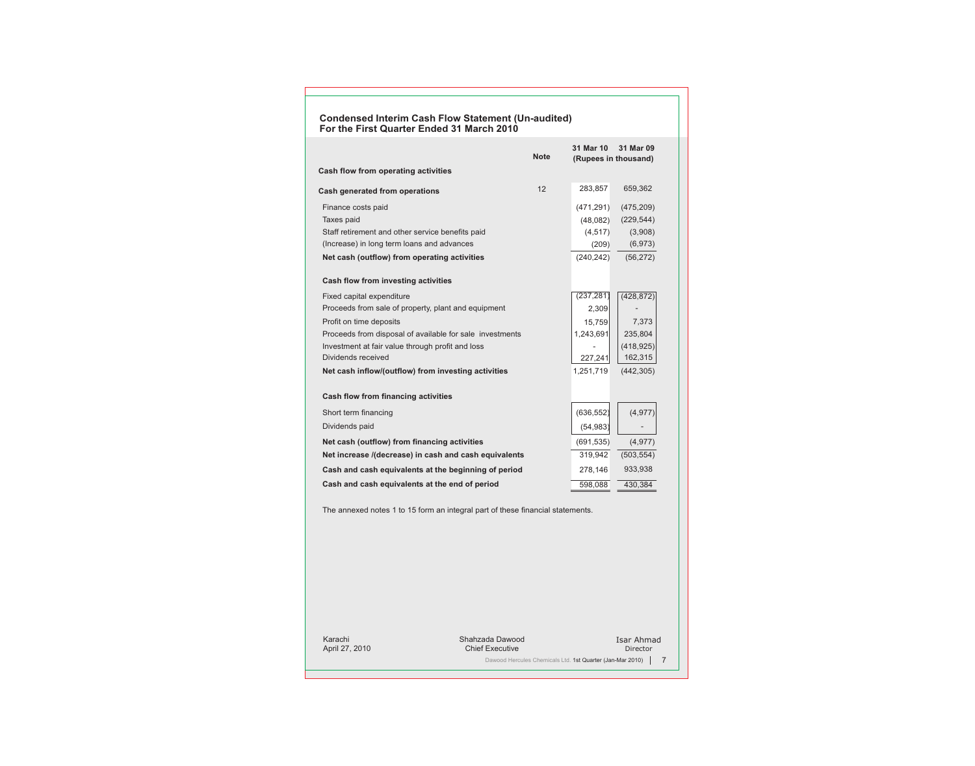#### **Condensed Interim Cash Flow Statement (Un-audited) For the First Quarter Ended 31 March 2010**

| <b>Note</b>                                              | 31 Mar 10<br>(Rupees in thousand) | 31 Mar 09  |
|----------------------------------------------------------|-----------------------------------|------------|
| Cash flow from operating activities                      |                                   |            |
| 12<br>Cash generated from operations                     | 283,857                           | 659,362    |
| Finance costs paid                                       | (471, 291)                        | (475, 209) |
| Taxes paid                                               | (48,082)                          | (229, 544) |
| Staff retirement and other service benefits paid         | (4, 517)                          | (3,908)    |
| (Increase) in long term loans and advances               | (209)                             | (6, 973)   |
| Net cash (outflow) from operating activities             | (240, 242)                        | (56, 272)  |
| <b>Cash flow from investing activities</b>               |                                   |            |
| Fixed capital expenditure                                | (237, 281)                        | (428, 872) |
| Proceeds from sale of property, plant and equipment      | 2,309                             |            |
| Profit on time deposits                                  | 15,759                            | 7,373      |
| Proceeds from disposal of available for sale investments | 1,243,691                         | 235,804    |
| Investment at fair value through profit and loss         |                                   | (418, 925) |
| Dividends received                                       | 227,241                           | 162,315    |
| Net cash inflow/(outflow) from investing activities      | 1,251,719                         | (442, 305) |
| <b>Cash flow from financing activities</b>               |                                   |            |
| Short term financing                                     | (636, 552)                        | (4, 977)   |
| Dividends paid                                           | (54, 983)                         |            |
| Net cash (outflow) from financing activities             | (691, 535)                        | (4, 977)   |
| Net increase /(decrease) in cash and cash equivalents    | 319,942                           | (503, 554) |
| Cash and cash equivalents at the beginning of period     | 278,146                           | 933,938    |
| Cash and cash equivalents at the end of period           | 598,088                           | 430,384    |

The annexed notes 1 to 15 form an integral part of these financial statements.

Karachi April 27, 2010 Shahzada Dawood Chief Executive Isar Ahmad Director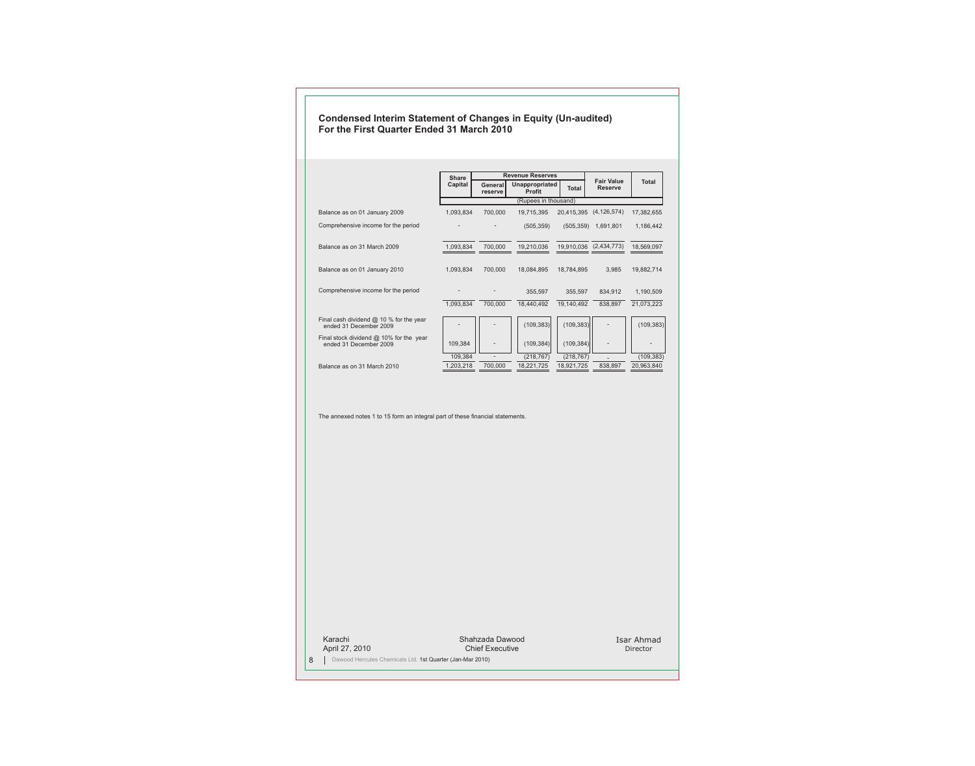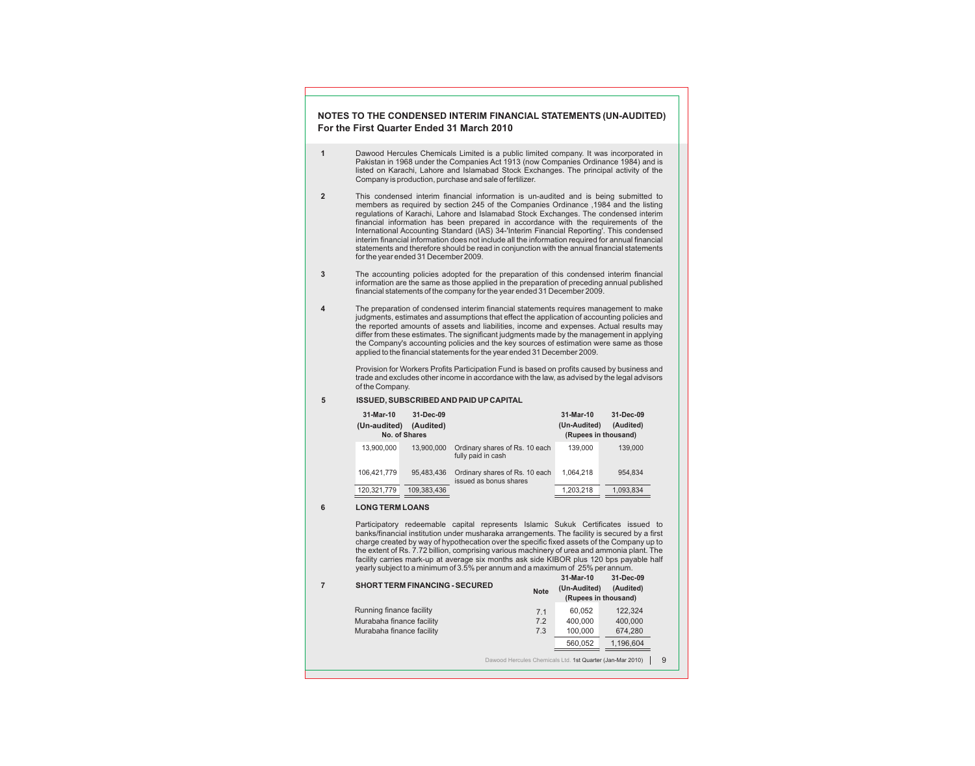### **NOTES TO THE CONDENSED INTERIM FINANCIAL STATEMENTS (UN-AUDITED) For the First Quarter Ended 31 March 2010**

- **1** Dawood Hercules Chemicals Limited is a public limited company. It was incorporated in Pakistan in 1968 under the Companies Act 1913 (now Companies Ordinance 1984) and is listed on Karachi, Lahore and Islamabad Stock Exchanges. The principal activity of the Company is production, purchase and sale of fertilizer.
- **2** This condensed interim financial information is un-audited and is being submitted to members as required by section 245 of the Companies Ordinance ,1984 and the listing regulations of Karachi, Lahore and Islamabad Stock Exchanges. The condensed interim financial information has been prepared in accordance with the requirements of the International Accounting Standard (IAS) 34-'Interim Financial Reporting'. This condensed interim financial information does not include all the information required for annual financial statements and therefore should be read in conjunction with the annual financial statements for the year ended 31 December 2009.
- **3** The accounting policies adopted for the preparation of this condensed interim financial information are the same as those applied in the preparation of preceding annual published financial statements of the company for the year ended 31 December 2009.
- **4** The preparation of condensed interim financial statements requires management to make judgments, estimates and assumptions that effect the application of accounting policies and the reported amounts of assets and liabilities, income and expenses. Actual results may differ from these estimates. The significant judgments made by the management in applying the Company's accounting policies and the key sources of estimation were same as those applied to the financial statements for the year ended 31 December 2009.

Provision for Workers Profits Participation Fund is based on profits caused by business and trade and excludes other income in accordance with the law, as advised by the legal advisors of the Company.

**5 ISSUED, SUBSCRIBED AND PAID UP CAPITAL**

| 31-Mar-10<br>(Un-audited) | 31-Dec-09<br>(Audited)<br>No. of Shares |                                                          | 31-Mar-10<br>(Un-Audited)<br>(Rupees in thousand) | 31-Dec-09<br>(Audited) |
|---------------------------|-----------------------------------------|----------------------------------------------------------|---------------------------------------------------|------------------------|
| 13.900.000                | 13,900,000                              | Ordinary shares of Rs. 10 each<br>fully paid in cash     | 139.000                                           | 139.000                |
| 106.421.779               | 95,483,436                              | Ordinary shares of Rs. 10 each<br>issued as bonus shares | 1.064.218                                         | 954.834                |
| 120.321.779               | 109.383.436                             |                                                          | 1.203.218                                         | 1,093,834              |

#### **6 LONG TERM LOANS**

Participatory redeemable capital represents Islamic Sukuk Certificates issued to banks/financial institution under musharaka arrangements. The facility is secured by a first charge created by way of hypothecation over the specific fixed assets of the Company up to the extent of Rs. 7.72 billion, comprising various machinery of urea and ammonia plant. The facility carries mark-up at average six months ask side KIBOR plus 120 bps payable half yearly subject to a minimum of 3.5% per annum and a maximum of 25% per annum.

**31-Mar-10 31-Dec-09**

| <b>SHORT TERM FINANCING - SECURED</b> | <b>Note</b>                                               | J HVIGI-I U<br>(Un-Audited)<br>(Rupees in thousand) | <u>JI-DEC-05</u><br>(Audited) |   |
|---------------------------------------|-----------------------------------------------------------|-----------------------------------------------------|-------------------------------|---|
| Running finance facility              | 7.1                                                       | 60,052                                              | 122,324                       |   |
| Murabaha finance facility             | 7.2                                                       | 400,000                                             | 400,000                       |   |
| Murabaha finance facility             | 7.3                                                       | 100,000                                             | 674,280                       |   |
|                                       |                                                           | 560,052                                             | 1,196,604                     |   |
|                                       | Dawood Hercules Chemicals Ltd. 1st Quarter (Jan-Mar 2010) |                                                     |                               | 9 |
|                                       |                                                           |                                                     |                               |   |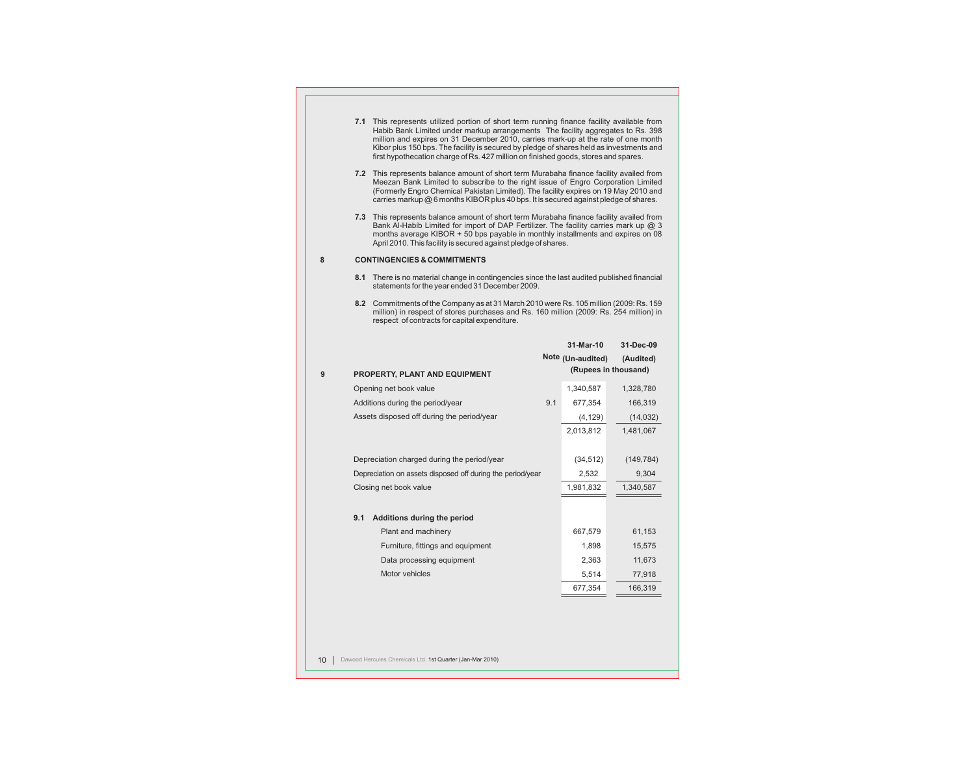|   | 7.1 This represents utilized portion of short term running finance facility available from                                                                                                                                                                                                                                                                  |     |                   |                      |
|---|-------------------------------------------------------------------------------------------------------------------------------------------------------------------------------------------------------------------------------------------------------------------------------------------------------------------------------------------------------------|-----|-------------------|----------------------|
|   | Habib Bank Limited under markup arrangements The facility aggregates to Rs. 398<br>million and expires on 31 December 2010, carries mark-up at the rate of one month<br>Kibor plus 150 bps. The facility is secured by pledge of shares held as investments and<br>first hypothecation charge of Rs. 427 million on finished goods, stores and spares.      |     |                   |                      |
|   | 7.2 This represents balance amount of short term Murabaha finance facility availed from<br>Meezan Bank Limited to subscribe to the right issue of Engro Corporation Limited<br>(Formerly Engro Chemical Pakistan Limited). The facility expires on 19 May 2010 and<br>carries markup $@6$ months KIBOR plus 40 bps. It is secured against pledge of shares. |     |                   |                      |
|   | 7.3 This represents balance amount of short term Murabaha finance facility availed from<br>Bank Al-Habib Limited for import of DAP Fertilizer. The facility carries mark up @ 3<br>months average KIBOR + 50 bps payable in monthly installments and expires on 08<br>April 2010. This facility is secured against pledge of shares.                        |     |                   |                      |
| 8 | <b>CONTINGENCIES &amp; COMMITMENTS</b>                                                                                                                                                                                                                                                                                                                      |     |                   |                      |
|   | 8.1 There is no material change in contingencies since the last audited published financial<br>statements for the year ended 31 December 2009.                                                                                                                                                                                                              |     |                   |                      |
|   | 8.2 Commitments of the Company as at 31 March 2010 were Rs. 105 million (2009: Rs. 159)<br>million) in respect of stores purchases and Rs. 160 million (2009: Rs. 254 million) in<br>respect of contracts for capital expenditure.                                                                                                                          |     |                   |                      |
|   |                                                                                                                                                                                                                                                                                                                                                             |     |                   |                      |
|   |                                                                                                                                                                                                                                                                                                                                                             |     | 31-Mar-10         | 31-Dec-09            |
|   |                                                                                                                                                                                                                                                                                                                                                             |     | Note (Un-audited) | (Audited)            |
| 9 | <b>PROPERTY, PLANT AND EQUIPMENT</b>                                                                                                                                                                                                                                                                                                                        |     |                   | (Rupees in thousand) |
|   | Opening net book value                                                                                                                                                                                                                                                                                                                                      |     | 1,340,587         | 1,328,780            |
|   | Additions during the period/year                                                                                                                                                                                                                                                                                                                            | 9.1 | 677,354           | 166,319              |
|   | Assets disposed off during the period/year                                                                                                                                                                                                                                                                                                                  |     | (4, 129)          | (14, 032)            |
|   |                                                                                                                                                                                                                                                                                                                                                             |     | 2,013,812         | 1,481,067            |
|   | Depreciation charged during the period/year                                                                                                                                                                                                                                                                                                                 |     | (34, 512)         | (149, 784)           |
|   | Depreciation on assets disposed off during the period/year                                                                                                                                                                                                                                                                                                  |     | 2,532             | 9,304                |
|   | Closing net book value                                                                                                                                                                                                                                                                                                                                      |     | 1,981,832         | 1,340,587            |
|   | 9.1 Additions during the period                                                                                                                                                                                                                                                                                                                             |     |                   |                      |
|   | Plant and machinery                                                                                                                                                                                                                                                                                                                                         |     | 667,579           | 61,153               |
|   | Furniture, fittings and equipment                                                                                                                                                                                                                                                                                                                           |     | 1,898             | 15,575               |
|   | Data processing equipment                                                                                                                                                                                                                                                                                                                                   |     | 2,363             | 11,673               |
|   | Motor vehicles                                                                                                                                                                                                                                                                                                                                              |     | 5,514             | 77,918               |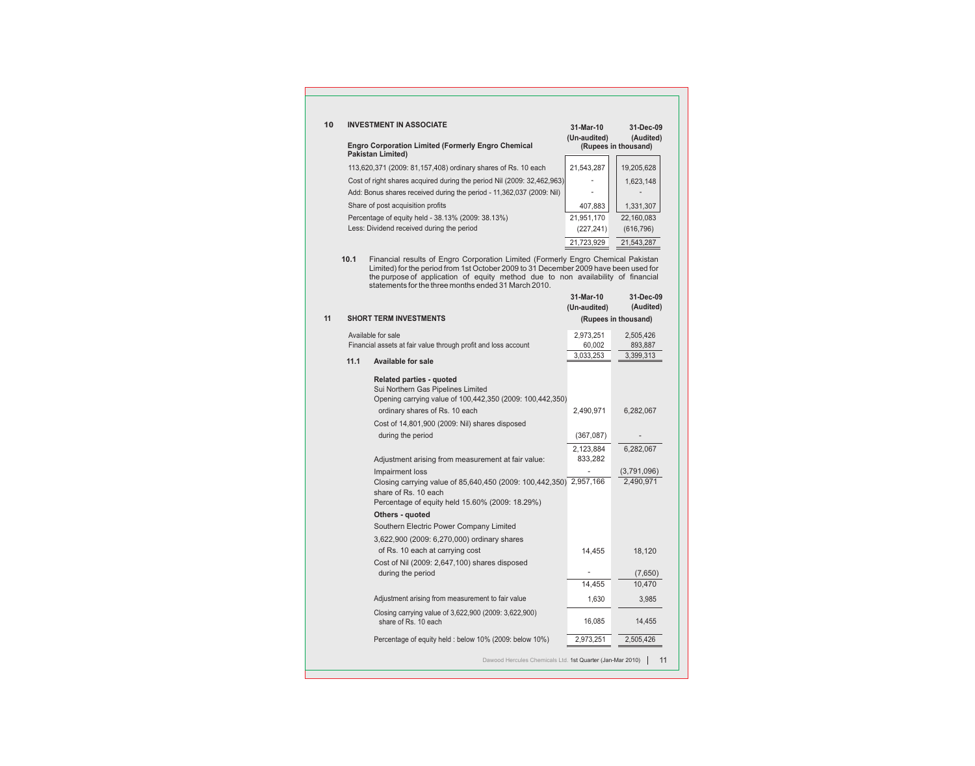| 10 |      | <b>INVESTMENT IN ASSOCIATE</b>                                                                                                                                                                                                                                                                                       | 31-Mar-10<br>(Un-audited) | 31-Dec-09<br>(Audited) |
|----|------|----------------------------------------------------------------------------------------------------------------------------------------------------------------------------------------------------------------------------------------------------------------------------------------------------------------------|---------------------------|------------------------|
|    |      | <b>Engro Corporation Limited (Formerly Engro Chemical</b><br><b>Pakistan Limited)</b>                                                                                                                                                                                                                                |                           | (Rupees in thousand)   |
|    |      | 113,620,371 (2009: 81,157,408) ordinary shares of Rs. 10 each                                                                                                                                                                                                                                                        | 21,543,287                | 19,205,628             |
|    |      | Cost of right shares acquired during the period Nil (2009: 32,462,963)                                                                                                                                                                                                                                               |                           | 1,623,148              |
|    |      | Add: Bonus shares received during the period - 11,362,037 (2009: Nil)                                                                                                                                                                                                                                                |                           |                        |
|    |      | Share of post acquisition profits                                                                                                                                                                                                                                                                                    | 407,883                   | 1,331,307              |
|    |      | Percentage of equity held - 38.13% (2009: 38.13%)                                                                                                                                                                                                                                                                    | 21,951,170                | 22,160,083             |
|    |      | Less: Dividend received during the period                                                                                                                                                                                                                                                                            | (227, 241)                | (616, 796)             |
|    |      |                                                                                                                                                                                                                                                                                                                      | 21,723,929                | 21,543,287             |
|    | 10.1 | Financial results of Engro Corporation Limited (Formerly Engro Chemical Pakistan<br>Limited) for the period from 1st October 2009 to 31 December 2009 have been used for<br>the purpose of application of equity method due to non availability of financial<br>statements for the three months ended 31 March 2010. | 31-Mar-10                 | 31-Dec-09              |
|    |      |                                                                                                                                                                                                                                                                                                                      | (Un-audited)              | (Audited)              |
| 11 |      | <b>SHORT TERM INVESTMENTS</b>                                                                                                                                                                                                                                                                                        |                           | (Rupees in thousand)   |
|    |      | Available for sale                                                                                                                                                                                                                                                                                                   |                           |                        |
|    |      | Financial assets at fair value through profit and loss account                                                                                                                                                                                                                                                       | 2,973,251<br>60,002       | 2,505,426<br>893,887   |
|    |      |                                                                                                                                                                                                                                                                                                                      | 3.033.253                 | 3,399,313              |
|    | 11.1 | <b>Available for sale</b>                                                                                                                                                                                                                                                                                            |                           |                        |
|    |      | <b>Related parties - quoted</b><br>Sui Northern Gas Pipelines Limited<br>Opening carrying value of 100,442,350 (2009: 100,442,350)                                                                                                                                                                                   |                           |                        |
|    |      | ordinary shares of Rs. 10 each                                                                                                                                                                                                                                                                                       | 2,490,971                 | 6,282,067              |
|    |      | Cost of 14,801,900 (2009: Nil) shares disposed                                                                                                                                                                                                                                                                       |                           |                        |
|    |      | during the period                                                                                                                                                                                                                                                                                                    | (367,087)                 |                        |
|    |      |                                                                                                                                                                                                                                                                                                                      | 2,123,884                 | 6,282,067              |
|    |      | Adjustment arising from measurement at fair value:                                                                                                                                                                                                                                                                   | 833,282                   |                        |
|    |      | Impairment loss                                                                                                                                                                                                                                                                                                      |                           | (3,791,096)            |
|    |      | Closing carrying value of 85,640,450 (2009: 100,442,350) 2,957,166<br>share of Rs. 10 each<br>Percentage of equity held 15.60% (2009: 18.29%)                                                                                                                                                                        |                           | 2,490,971              |
|    |      | Others - quoted                                                                                                                                                                                                                                                                                                      |                           |                        |
|    |      | Southern Electric Power Company Limited                                                                                                                                                                                                                                                                              |                           |                        |
|    |      | 3,622,900 (2009: 6,270,000) ordinary shares                                                                                                                                                                                                                                                                          |                           |                        |
|    |      | of Rs. 10 each at carrying cost                                                                                                                                                                                                                                                                                      | 14,455                    | 18,120                 |
|    |      | Cost of Nil (2009: 2,647,100) shares disposed                                                                                                                                                                                                                                                                        |                           |                        |
|    |      | during the period                                                                                                                                                                                                                                                                                                    | 14,455                    | (7,650)                |
|    |      |                                                                                                                                                                                                                                                                                                                      |                           | 10,470                 |
|    |      | Adjustment arising from measurement to fair value                                                                                                                                                                                                                                                                    | 1,630                     | 3,985                  |
|    |      | Closing carrying value of 3,622,900 (2009: 3,622,900)<br>share of Rs. 10 each                                                                                                                                                                                                                                        | 16,085                    | 14,455                 |
|    |      | Percentage of equity held : below 10% (2009: below 10%)                                                                                                                                                                                                                                                              | 2,973,251                 | 2,505,426              |
|    |      | Dawood Hercules Chemicals Ltd. 1st Quarter (Jan-Mar 2010)                                                                                                                                                                                                                                                            |                           | 11                     |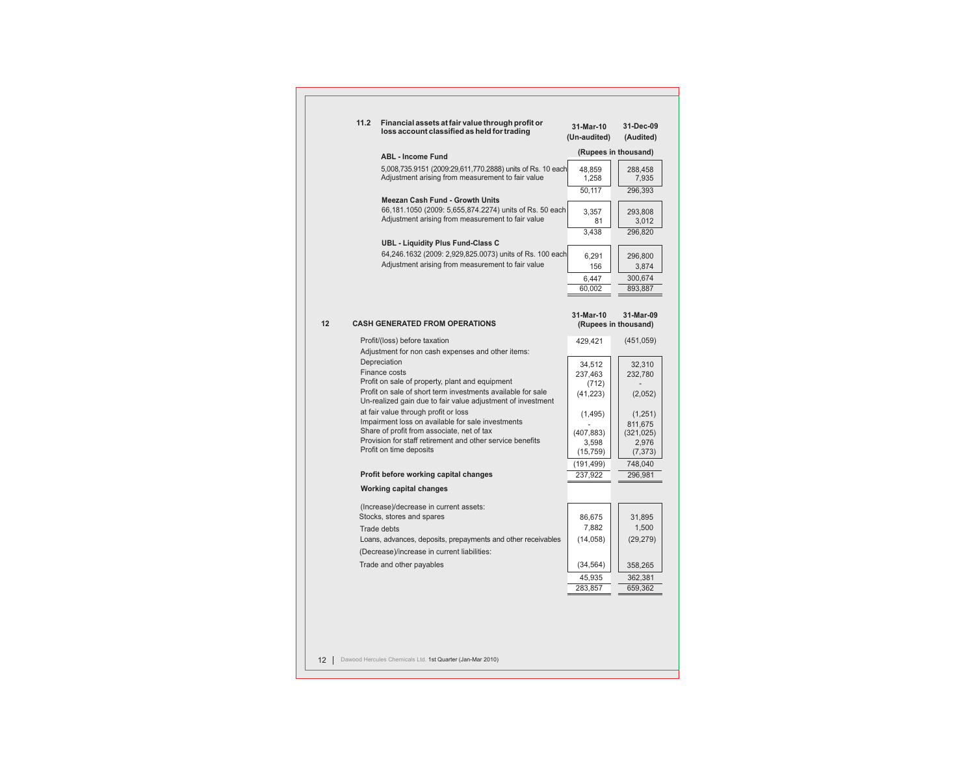| 11.2 | Financial assets at fair value through profit or<br>loss account classified as held for trading              | 31-Mar-10<br>(Un-audited) | 31-Dec-09<br>(Audited)                       |
|------|--------------------------------------------------------------------------------------------------------------|---------------------------|----------------------------------------------|
|      | <b>ABL - Income Fund</b>                                                                                     |                           | (Rupees in thousand)                         |
|      | 5,008,735.9151 (2009:29,611,770.2888) units of Rs. 10 each                                                   | 48,859                    | 288,458                                      |
|      | Adjustment arising from measurement to fair value                                                            | 1,258                     | 7,935                                        |
|      |                                                                                                              | 50,117                    | 296,393                                      |
|      | Meezan Cash Fund - Growth Units                                                                              |                           |                                              |
|      | 66,181.1050 (2009: 5,655,874.2274) units of Rs. 50 each<br>Adjustment arising from measurement to fair value | 3,357                     | 293,808                                      |
|      |                                                                                                              | 81<br>3.438               | 3,012                                        |
|      | <b>UBL - Liquidity Plus Fund-Class C</b>                                                                     |                           | 296,820                                      |
|      | 64,246.1632 (2009: 2,929,825.0073) units of Rs. 100 each                                                     |                           |                                              |
|      | Adjustment arising from measurement to fair value                                                            | 6,291<br>156              | 296,800<br>3,874                             |
|      |                                                                                                              | 6,447                     | 300,674                                      |
|      |                                                                                                              | 60,002                    | 893,887                                      |
|      |                                                                                                              |                           |                                              |
|      | <b>CASH GENERATED FROM OPERATIONS</b>                                                                        | 31-Mar-10                 | 31-Mar-09<br>(Rupees in thousand)            |
|      |                                                                                                              |                           |                                              |
|      | Profit/(loss) before taxation                                                                                | 429,421                   | (451,059)                                    |
|      | Adjustment for non cash expenses and other items:<br>Depreciation                                            |                           |                                              |
|      | Finance costs                                                                                                | 34,512<br>237,463         | 32,310<br>232,780                            |
|      | Profit on sale of property, plant and equipment                                                              | (712)                     |                                              |
|      | Profit on sale of short term investments available for sale                                                  | (41, 223)                 | (2,052)                                      |
|      | Un-realized gain due to fair value adjustment of investment                                                  |                           |                                              |
|      | at fair value through profit or loss                                                                         | (1, 495)                  |                                              |
|      | Impairment loss on available for sale investments                                                            |                           | 811,675                                      |
|      | Share of profit from associate, net of tax                                                                   | (407, 883)                |                                              |
|      | Provision for staff retirement and other service benefits<br>Profit on time deposits                         | 3,598                     | 2,976                                        |
|      |                                                                                                              | (15, 759)                 | 748,040                                      |
|      | Profit before working capital changes                                                                        | (191, 499)<br>237,922     | 296,981                                      |
|      | <b>Working capital changes</b>                                                                               |                           |                                              |
|      | (Increase)/decrease in current assets:                                                                       |                           |                                              |
|      | Stocks, stores and spares                                                                                    | 86,675                    | 31,895                                       |
|      | Trade debts                                                                                                  | 7,882                     | 1,500                                        |
|      | Loans, advances, deposits, prepayments and other receivables                                                 | (14, 058)                 | (29, 279)                                    |
|      | (Decrease)/increase in current liabilities:                                                                  |                           |                                              |
|      | Trade and other payables                                                                                     | (34, 564)                 | 358,265                                      |
|      |                                                                                                              | 45,935                    | (1,251)<br>(321, 025)<br>(7, 373)<br>362,381 |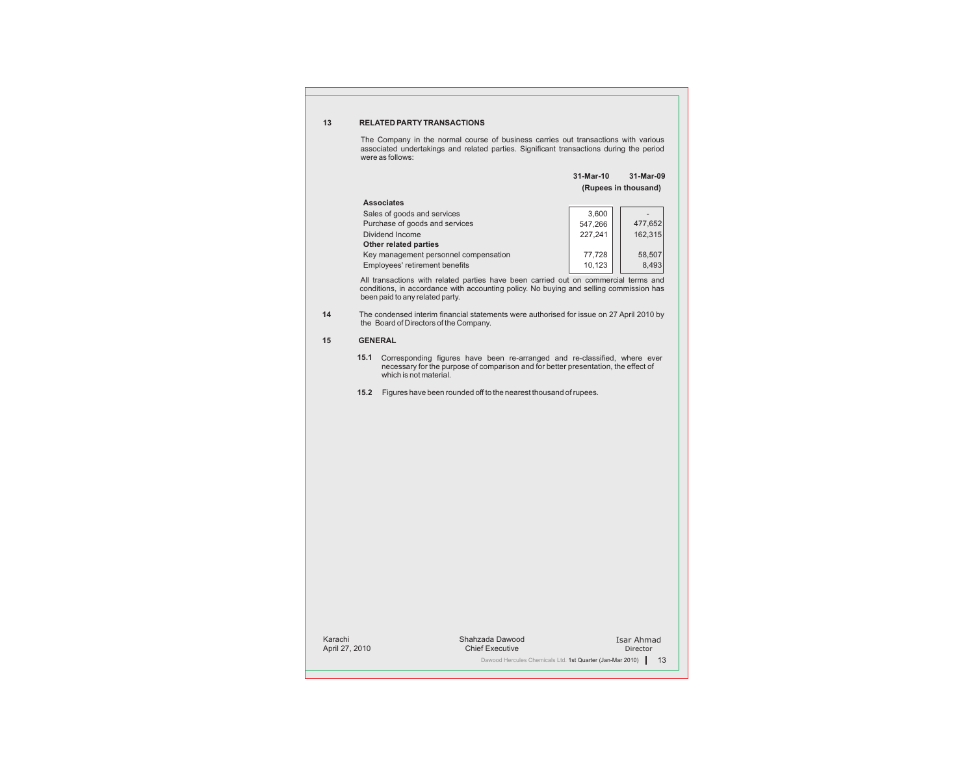#### **13 RELATED PARTYTRANSACTIONS**

The Company in the normal course of business carries out transactions with various associated undertakings and related parties. Significant transactions during the period were as follows:

|                                       | 31-Mar-10            | 31-Mar-09 |
|---------------------------------------|----------------------|-----------|
|                                       | (Rupees in thousand) |           |
| <b>Associates</b>                     |                      |           |
| Sales of goods and services           | 3.600                |           |
| Purchase of goods and services        | 547.266              | 477,652   |
| Dividend Income                       | 227.241              | 162,315   |
| <b>Other related parties</b>          |                      |           |
| Key management personnel compensation | 77,728               | 58,507    |
| Employees' retirement benefits        | 10,123               | 8,493     |

All transactions with related parties have been carried out on commercial terms and conditions, in accordance with accounting policy. No buying and selling commission has been paid to any related party.

**14** The condensed interim financial statements were authorised for issue on 27 April 2010 by the Board of Directors of the Company.

#### **15 GENERAL**

- **15.1** Corresponding figures have been re-arranged and re-classified, where ever necessary for the purpose of comparison and for better presentation, the effect of which is not material.
- **15.2** Figures have been rounded off to the nearest thousand of rupees.

Karachi April 27, 2010

Isar Ahmad Director Shahzada Dawood Chief Executive